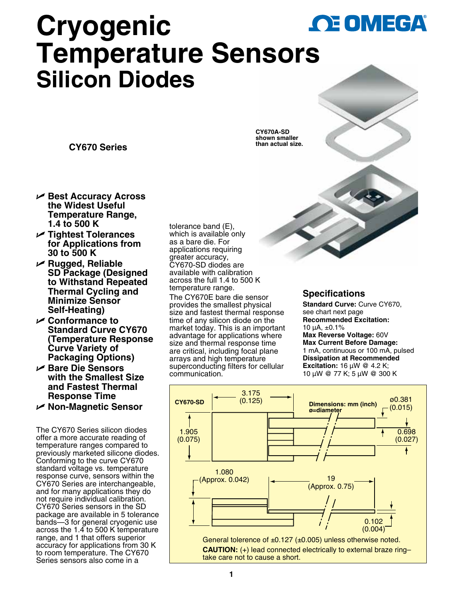

# **Cryogenic Temperature Senso[rs](www.omega.com) Silicon Diodes**

**CY670 Series**

- U **Best Accuracy Across the Widest Useful Temperature Range, 1.4 to 500 K**
- U **Tightest Tolerances for Applications from 30 to 500 K**
- U **Rugged, Reliable SD Package (Designed to Withstand Repeated Thermal Cycling and Minimize Sensor Self-Heating)**
- U **Conformance to Standard Curve CY670 (Temperature Response Curve Variety of Packaging Options)**
- U **Bare Die Sensors with the Smallest Size and Fastest Thermal Response Time**  U **Non-Magnetic Sensor**

The CY670 Series silicon diodes offer a more accurate reading of temperature ranges compared to previously marketed silicone diodes. Conforming to the curve CY670 standard voltage vs. temperature response curve, sensors within the CY670 Series are interchangeable, and for many applications they do not require individual calibration. CY670 Series sensors in the SD package are available in 5 tolerance bands—3 for general cryogenic use across the 1.4 to 500 K temperature range, and 1 that offers superior accuracy for applications from 30 K to room temperature. The CY670 Series sensors also come in a

tolerance band (E), which is available only as a bare die. For applications requiring greater accuracy, CY670-SD diodes are available with calibration across the full 1.4 to 500 K temperature range.

The CY670E bare die sensor provides the smallest physical size and fastest thermal response time of any silicon diode on the market today. This is an important advantage for applications where size and thermal response time are critical, including focal plane arrays and high temperature superconducting filters for cellular communication.





## **Specifications**

**Standard Curve:** Curve CY670, see chart next page **Recommended Excitation:** 10 µA, ±0.1% **Max Reverse Voltage:** 60V **Max Current Before Damage:** 1 mA, continuous or 100 mA, pulsed **Dissipation at Recommended Excitation:** 16 µW @ 4.2 K; 10 µW @ 77 K; 5 µW @ 300 K

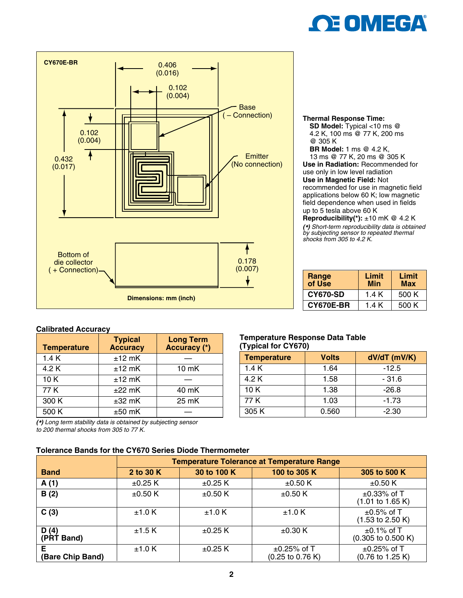



#### **Thermal Response Time: SD Model:** Typical <10 ms @ 4.2 K, 100 ms @ 77 K, 200 ms @ 305 K **BR Model:** 1 ms @ 4.2 K, 13 ms @ 77 K, 20 ms @ 305 K **Use in Radiation:** Recommended for use only in low level radiation **Use in Magnetic Field:** Not recommended for use in magnetic field applications below 60 K; low magnetic field dependence when used in fields up to 5 tesla above 60 K **Reproducibility(\*):** ±10 mK @ 4.2 K

*(\*) Short-term reproducibility data is obtained by subjecting sensor to repeated thermal shocks from 305 to 4.2 K.*

| <b>Range<br/>of Use</b> | Limit<br>Min | Limit<br><b>Max</b> |
|-------------------------|--------------|---------------------|
| <b>CY670-SD</b>         | 1.4 K        | 500 K               |
| <b>CY670E-BR</b>        | 1.4 K        | 500 K               |

#### **Calibrated Accuracy**

| <b>Temperature</b> | <b>Typical</b><br><b>Accuracy</b> | Long Term<br>Accuracy (*) |
|--------------------|-----------------------------------|---------------------------|
| 1.4K               | $±12$ mK                          |                           |
| 4.2 K              | $±12$ mK                          | $10 \, \text{mK}$         |
| 10K                | $±12$ mK                          |                           |
| 77 K               | $±22$ mK                          | 40 mK                     |
| 300 K              | $±32$ mK                          | 25 mK                     |
| 500 K              | $±50$ mK                          |                           |

*(\*) Long term stability data is obtained by subjecting sensor* 

*to 200 thermal shocks from 305 to 77 K.*

### **Tolerance Bands for the CY670 Series Diode Thermometer**

#### **Temperature Response Data Table (Typical for CY670)**

| <b>Temperature</b> | <b>Volts</b> | dV/dT (mV/K) |
|--------------------|--------------|--------------|
| 1.4 K              | 1.64         | $-12.5$      |
| 4.2 K              | 1.58         | $-31.6$      |
| 10 K               | 1.38         | $-26.8$      |
| 77 K               | 1.03         | $-1.73$      |
| 305 K              | 0.560        | $-2.30$      |

|                        | <b>Temperature Tolerance at Temperature Range</b> |              |                                                          |                                                          |
|------------------------|---------------------------------------------------|--------------|----------------------------------------------------------|----------------------------------------------------------|
| <b>Band</b>            | 2 to 30 K                                         | 30 to 100 K  | 100 to 305 K                                             | 305 to 500 K                                             |
| A(1)                   | $\pm 0.25$ K                                      | $\pm 0.25$ K | $\pm 0.50$ K                                             | $\pm 0.50$ K                                             |
| B(2)                   | $\pm 0.50$ K                                      | $\pm 0.50$ K | $\pm 0.50$ K                                             | $\pm 0.33\%$ of T<br>$(1.01 \text{ to } 1.65 \text{ K})$ |
| C(3)                   | ±1.0 K                                            | ±1.0 K       | ±1.0 K                                                   | $\pm 0.5\%$ of T<br>$(1.53 \text{ to } 2.50 \text{ K})$  |
| D(4)<br>(PRT Band)     | ±1.5K                                             | $\pm 0.25$ K | $\pm 0.30$ K                                             | $\pm$ 0.1% of T<br>(0.305 to 0.500 K)                    |
| E.<br>(Bare Chip Band) | ±1.0 K                                            | $\pm 0.25$ K | $\pm 0.25\%$ of T<br>$(0.25 \text{ to } 0.76 \text{ K})$ | $\pm$ 0.25% of T<br>$(0.76 \text{ to } 1.25 \text{ K})$  |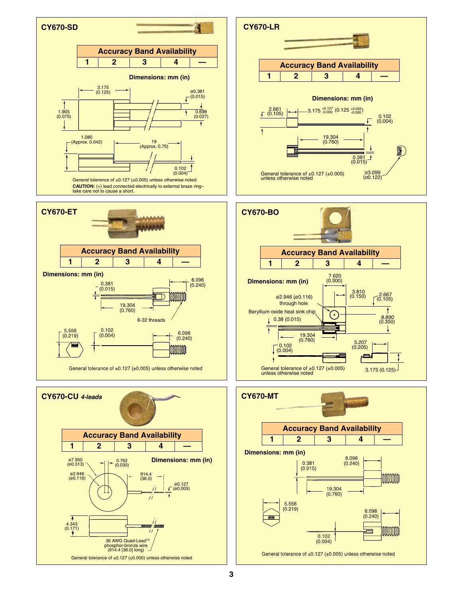